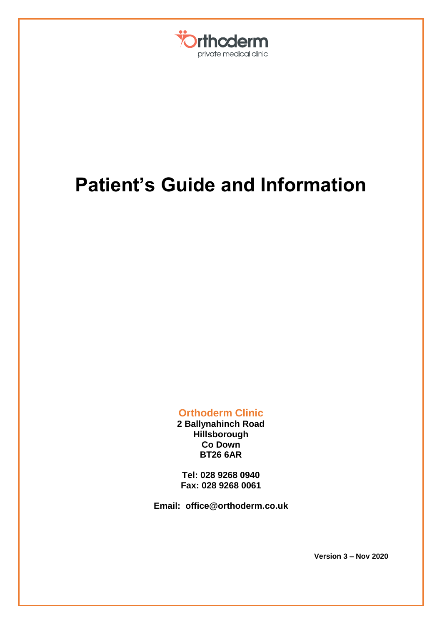

# **Patient's Guide and Information**

**Orthoderm Clinic**

**2 Ballynahinch Road Hillsborough Co Down BT26 6AR**

**Tel: 028 9268 0940 Fax: 028 9268 0061**

**Email: office@orthoderm.co.uk**

**Version 3 – Nov 2020**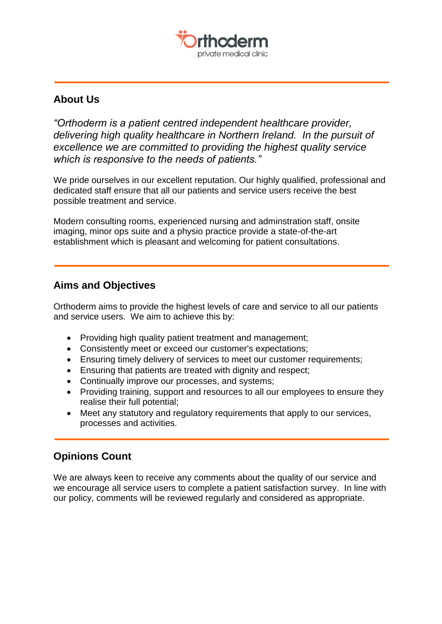

# **About Us**

*"Orthoderm is a patient centred independent healthcare provider, delivering high quality healthcare in Northern Ireland. In the pursuit of excellence we are committed to providing the highest quality service which is responsive to the needs of patients."*

We pride ourselves in our excellent reputation. Our highly qualified, professional and dedicated staff ensure that all our patients and service users receive the best possible treatment and service.

Modern consulting rooms, experienced nursing and adminstration staff, onsite imaging, minor ops suite and a physio practice provide a state-of-the-art establishment which is pleasant and welcoming for patient consultations.

# **Aims and Objectives**

Orthoderm aims to provide the highest levels of care and service to all our patients and service users. We aim to achieve this by:

- Providing high quality patient treatment and management:
- Consistently meet or exceed our customer's expectations;
- Ensuring timely delivery of services to meet our customer requirements;
- Ensuring that patients are treated with dignity and respect;
- Continually improve our processes, and systems;
- Providing training, support and resources to all our employees to ensure they realise their full potential;
- Meet any statutory and regulatory requirements that apply to our services, processes and activities.

# **Opinions Count**

We are always keen to receive any comments about the quality of our service and we encourage all service users to complete a patient satisfaction survey. In line with our policy, comments will be reviewed regularly and considered as appropriate.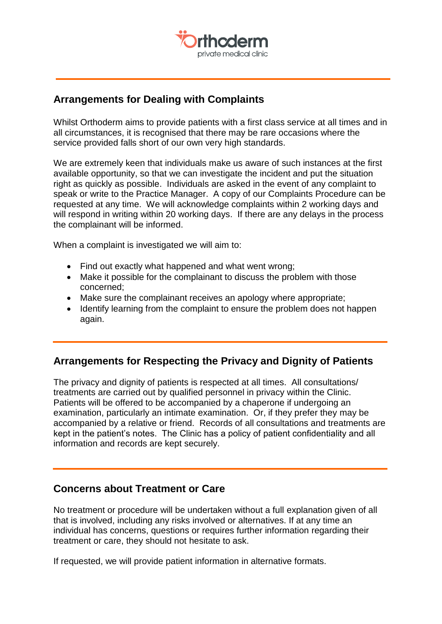

## **Arrangements for Dealing with Complaints**

Whilst Orthoderm aims to provide patients with a first class service at all times and in all circumstances, it is recognised that there may be rare occasions where the service provided falls short of our own very high standards.

We are extremely keen that individuals make us aware of such instances at the first available opportunity, so that we can investigate the incident and put the situation right as quickly as possible. Individuals are asked in the event of any complaint to speak or write to the Practice Manager. A copy of our Complaints Procedure can be requested at any time. We will acknowledge complaints within 2 working days and will respond in writing within 20 working days. If there are any delays in the process the complainant will be informed.

When a complaint is investigated we will aim to:

- Find out exactly what happened and what went wrong;
- Make it possible for the complainant to discuss the problem with those concerned;
- Make sure the complainant receives an apology where appropriate;
- Identify learning from the complaint to ensure the problem does not happen again.

## **Arrangements for Respecting the Privacy and Dignity of Patients**

The privacy and dignity of patients is respected at all times. All consultations/ treatments are carried out by qualified personnel in privacy within the Clinic. Patients will be offered to be accompanied by a chaperone if undergoing an examination, particularly an intimate examination. Or, if they prefer they may be accompanied by a relative or friend. Records of all consultations and treatments are kept in the patient's notes. The Clinic has a policy of patient confidentiality and all information and records are kept securely.

### **Concerns about Treatment or Care**

No treatment or procedure will be undertaken without a full explanation given of all that is involved, including any risks involved or alternatives. If at any time an individual has concerns, questions or requires further information regarding their treatment or care, they should not hesitate to ask.

If requested, we will provide patient information in alternative formats.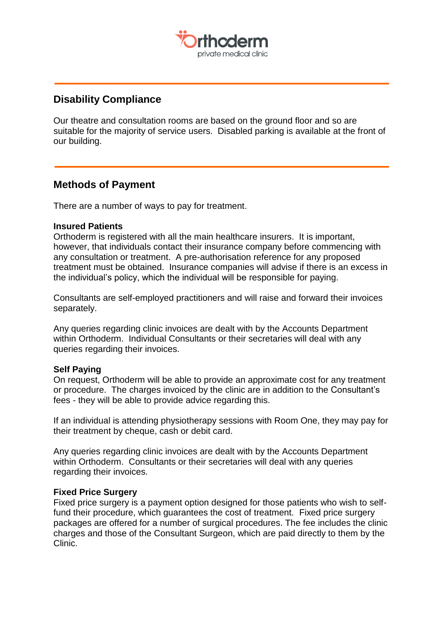

## **Disability Compliance**

Our theatre and consultation rooms are based on the ground floor and so are suitable for the majority of service users. Disabled parking is available at the front of our building.

## **Methods of Payment**

There are a number of ways to pay for treatment.

#### **Insured Patients**

Orthoderm is registered with all the main healthcare insurers. It is important, however, that individuals contact their insurance company before commencing with any consultation or treatment. A pre-authorisation reference for any proposed treatment must be obtained. Insurance companies will advise if there is an excess in the individual's policy, which the individual will be responsible for paying.

Consultants are self-employed practitioners and will raise and forward their invoices separately.

Any queries regarding clinic invoices are dealt with by the Accounts Department within Orthoderm. Individual Consultants or their secretaries will deal with any queries regarding their invoices.

#### **Self Paying**

On request, Orthoderm will be able to provide an approximate cost for any treatment or procedure. The charges invoiced by the clinic are in addition to the Consultant's fees - they will be able to provide advice regarding this.

If an individual is attending physiotherapy sessions with Room One, they may pay for their treatment by cheque, cash or debit card.

Any queries regarding clinic invoices are dealt with by the Accounts Department within Orthoderm. Consultants or their secretaries will deal with any queries regarding their invoices.

#### **Fixed Price Surgery**

Fixed price surgery is a payment option designed for those patients who wish to selffund their procedure, which guarantees the cost of treatment. Fixed price surgery packages are offered for a number of surgical procedures. The fee includes the clinic charges and those of the Consultant Surgeon, which are paid directly to them by the Clinic.